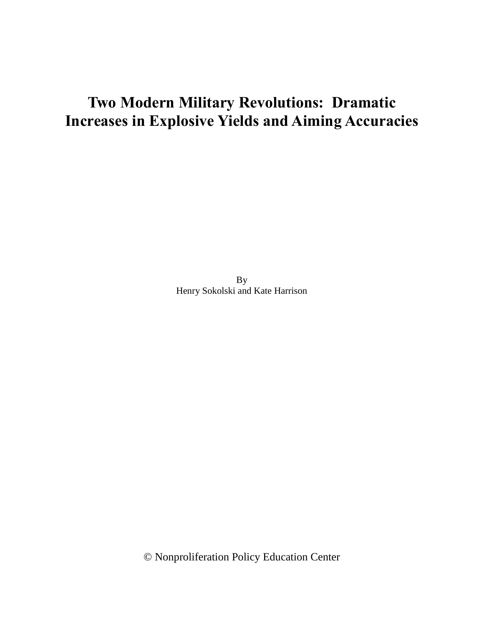# **Two Modern Military Revolutions: Dramatic Increases in Explosive Yields and Aiming Accuracies**

By Henry Sokolski and Kate Harrison

© Nonproliferation Policy Education Center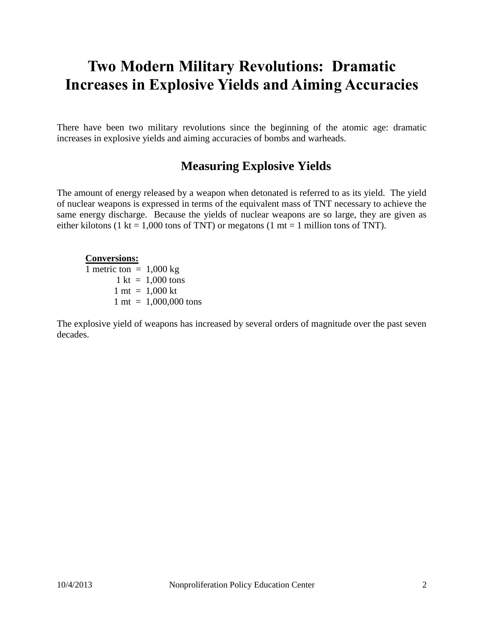# **Two Modern Military Revolutions: Dramatic Increases in Explosive Yields and Aiming Accuracies**

There have been two military revolutions since the beginning of the atomic age: dramatic increases in explosive yields and aiming accuracies of bombs and warheads.

## **Measuring Explosive Yields**

The amount of energy released by a weapon when detonated is referred to as its yield. The yield of nuclear weapons is expressed in terms of the equivalent mass of TNT necessary to achieve the same energy discharge. Because the yields of nuclear weapons are so large, they are given as either kilotons (1 kt = 1,000 tons of TNT) or megatons (1 mt = 1 million tons of TNT).

#### **Conversions:**

1 metric ton  $= 1,000$  kg  $1 \text{ kt} = 1,000 \text{ tons}$  $1 \text{ mt} = 1,000 \text{ kt}$ 1 mt = 1,000,000 tons

The explosive yield of weapons has increased by several orders of magnitude over the past seven decades.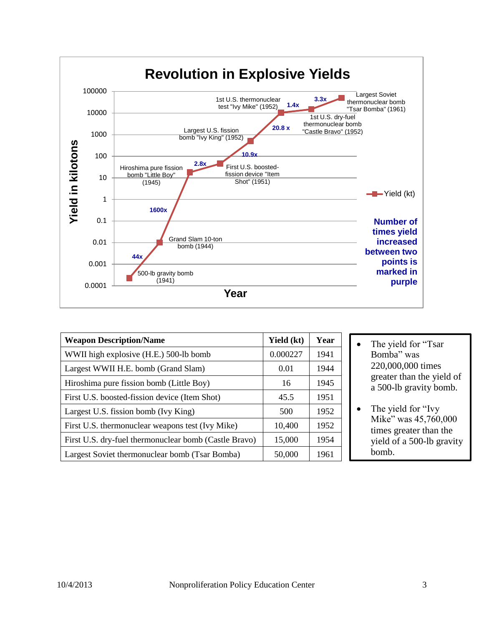

| <b>Weapon Description/Name</b>                        | Yield (kt) | Year |
|-------------------------------------------------------|------------|------|
| WWII high explosive (H.E.) 500-lb bomb                | 0.000227   | 1941 |
| Largest WWII H.E. bomb (Grand Slam)                   | 0.01       | 1944 |
| Hiroshima pure fission bomb (Little Boy)              | 16         | 1945 |
| First U.S. boosted-fission device (Item Shot)         | 45.5       | 1951 |
| Largest U.S. fission bomb (Ivy King)                  | 500        | 1952 |
| First U.S. thermonuclear weapons test (Ivy Mike)      | 10,400     | 1952 |
| First U.S. dry-fuel thermonuclear bomb (Castle Bravo) | 15,000     | 1954 |
| Largest Soviet thermonuclear bomb (Tsar Bomba)        | 50,000     | 1961 |

- The yield for "Tsar Bomba" was 220,000,000 times greater than the yield of a 500-lb gravity bomb.
- The yield for "Ivy" Mike" was 45,760,000 times greater than the yield of a 500-lb gravity bomb.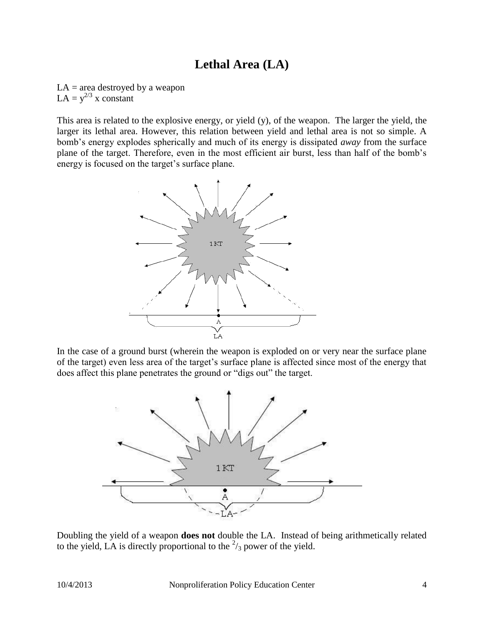## **Lethal Area (LA)**

 $LA = area$  destroyed by a weapon  $LA = y^{2/3}$  x constant

This area is related to the explosive energy, or yield (y), of the weapon. The larger the yield, the larger its lethal area. However, this relation between yield and lethal area is not so simple. A bomb's energy explodes spherically and much of its energy is dissipated *away* from the surface plane of the target. Therefore, even in the most efficient air burst, less than half of the bomb's energy is focused on the target's surface plane.



In the case of a ground burst (wherein the weapon is exploded on or very near the surface plane of the target) even less area of the target's surface plane is affected since most of the energy that does affect this plane penetrates the ground or "digs out" the target.



Doubling the yield of a weapon **does not** double the LA. Instead of being arithmetically related to the yield, LA is directly proportional to the  $\frac{2}{3}$  power of the yield.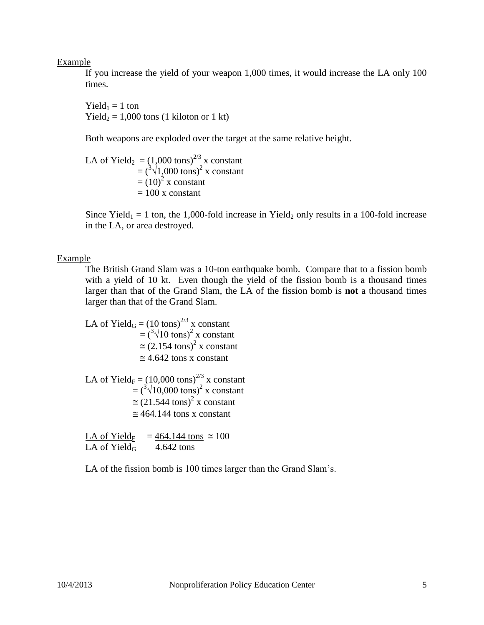Example

If you increase the yield of your weapon 1,000 times, it would increase the LA only 100 times.

Yield<sub>1</sub> = 1 ton Yield<sub>2</sub> = 1,000 tons (1 kiloton or 1 kt)

Both weapons are exploded over the target at the same relative height.

LA of Yield<sub>2</sub> =  $(1,000 \text{ tons})^{2/3}$  x constant  $=(\sqrt[3]{1,000 \text{ tons}})^2$  x constant  $=(10)^2$  x constant  $= 100$  x constant

Since Yield<sub>1</sub> = 1 ton, the 1,000-fold increase in Yield<sub>2</sub> only results in a 100-fold increase in the LA, or area destroyed.

#### Example

The British Grand Slam was a 10-ton earthquake bomb. Compare that to a fission bomb with a yield of 10 kt. Even though the yield of the fission bomb is a thousand times larger than that of the Grand Slam, the LA of the fission bomb is **not** a thousand times larger than that of the Grand Slam.

LA of Yield<sub>G</sub> =  $(10 \text{ tons})^{2/3}$  x constant  $=(\sqrt[3]{10 \text{ tons}})^2$  x constant  $\approx$  (2.154 tons)<sup>2</sup> x constant  $\approx$  4.642 tons x constant

LA of Yield<sub>F</sub> =  $(10,000 \text{ tons})^{2/3}$  x constant  $=(\sqrt[3]{10,000 \text{ tons}})^2$  x constant  $\approx$  (21.544 tons)<sup>2</sup> x constant  $\approx$  464.144 tons x constant

LA of Yield<sub>F</sub> = 464.144 tons  $\approx 100$ LA of Yield<sub>G</sub>  $4.642$  tons

LA of the fission bomb is 100 times larger than the Grand Slam's.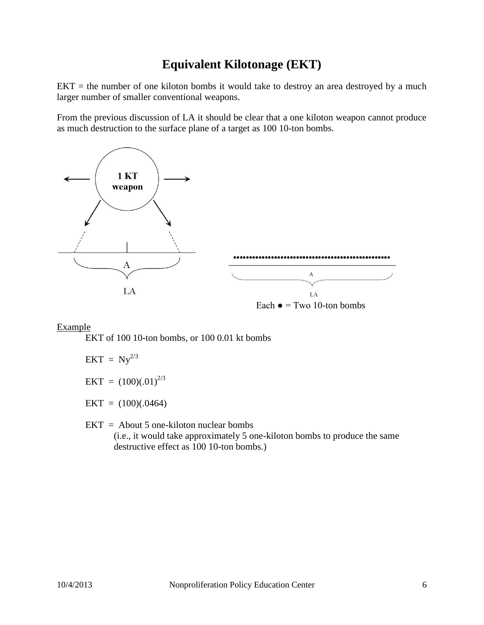## **Equivalent Kilotonage (EKT)**

 $EKT =$  the number of one kiloton bombs it would take to destroy an area destroyed by a much larger number of smaller conventional weapons.

From the previous discussion of LA it should be clear that a one kiloton weapon cannot produce as much destruction to the surface plane of a target as 100 10-ton bombs.



Each  $\bullet$  = Two 10-ton bombs

#### Example

EKT of 100 10-ton bombs, or 100 0.01 kt bombs

$$
EKT = Ny^{2/3}
$$

 $EKT = (100)(.01)^{2/3}$ 

 $EKT = (100)(.0464)$ 

 $EKT =$  About 5 one-kiloton nuclear bombs (i.e., it would take approximately 5 one-kiloton bombs to produce the same destructive effect as 100 10-ton bombs.)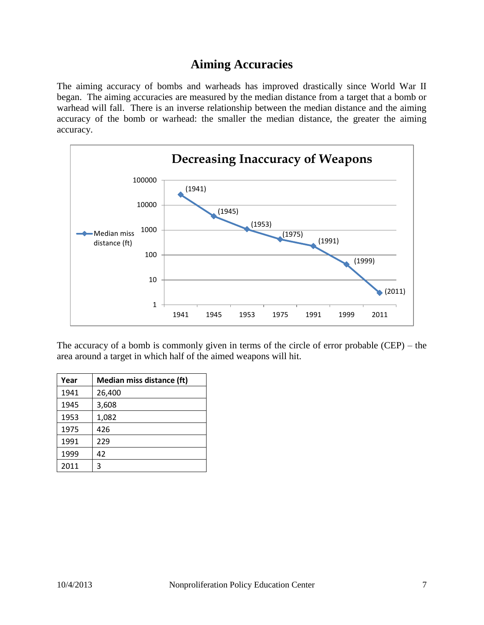## **Aiming Accuracies**

The aiming accuracy of bombs and warheads has improved drastically since World War II began. The aiming accuracies are measured by the median distance from a target that a bomb or warhead will fall. There is an inverse relationship between the median distance and the aiming accuracy of the bomb or warhead: the smaller the median distance, the greater the aiming accuracy.



The accuracy of a bomb is commonly given in terms of the circle of error probable (CEP) – the area around a target in which half of the aimed weapons will hit.

| Year | <b>Median miss distance (ft)</b> |  |
|------|----------------------------------|--|
| 1941 | 26,400                           |  |
| 1945 | 3,608                            |  |
| 1953 | 1,082                            |  |
| 1975 | 426                              |  |
| 1991 | 229                              |  |
| 1999 | 42                               |  |
| 2011 | 3                                |  |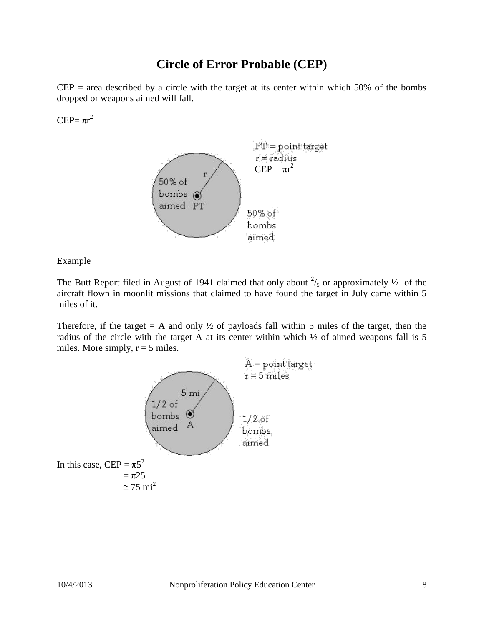### **Circle of Error Probable (CEP)**

 $CEP = area described by a circle with the target at its center within which 50% of the bombs$ dropped or weapons aimed will fall.

 $CEP = \pi r^2$ 



Example

The Butt Report filed in August of 1941 claimed that only about  $\frac{2}{5}$  or approximately  $\frac{1}{2}$  of the aircraft flown in moonlit missions that claimed to have found the target in July came within 5 miles of it.

Therefore, if the target  $= A$  and only  $\frac{1}{2}$  of payloads fall within 5 miles of the target, then the radius of the circle with the target A at its center within which ½ of aimed weapons fall is 5 miles. More simply,  $r = 5$  miles.

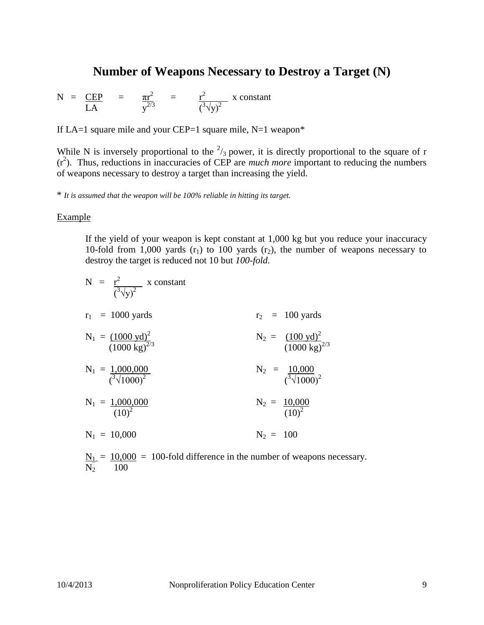### **Number of Weapons Necessary to Destroy a Target (N)**

$$
N = \frac{CEP}{LA} = \frac{\pi r^2}{y^{2/3}} = \frac{r^2}{(\sqrt[3]{y})^2} x constant
$$

If LA=1 square mile and your CEP=1 square mile,  $N=1$  weapon\*

While N is inversely proportional to the  $\frac{2}{3}$  power, it is directly proportional to the square of r (r2 ). Thus, reductions in inaccuracies of CEP are *much more* important to reducing the numbers of weapons necessary to destroy a target than increasing the yield.

\* *It is assumed that the weapon will be 100% reliable in hitting its target.*

#### Example

If the yield of your weapon is kept constant at 1,000 kg but you reduce your inaccuracy 10-fold from 1,000 yards  $(r_1)$  to 100 yards  $(r_2)$ , the number of weapons necessary to destroy the target is reduced not 10 but *100-fold*.

| N = $\frac{r^2}{(\sqrt[3]{v})^2}$ x constant                              |                                                            |
|---------------------------------------------------------------------------|------------------------------------------------------------|
| $r_1 = 1000$ yards                                                        | $r_2 = 100$ yards                                          |
| $N_1 = \frac{(1000 \text{ yd})^2}{(1000 \text{ kg})^{2/3}}$               | $N_2 = \frac{(100 \text{ yd})^2}{(1000 \text{ kg})^{2/3}}$ |
| $N_1 = \frac{1,000,000}{({}^3 \sqrt{1000})^2}$                            | $N_2 = \frac{10,000}{({}^3 \sqrt{1000})^2}$                |
| $N_1 = \frac{1,000,000}{(10)^2}$                                          | $N_2 = \frac{10,000}{(10)^2}$                              |
| $N_1 = 10,000$                                                            | $N_2 = 100$                                                |
| $N_1 = 10,000 = 100$ -fold difference in the number of weapons necessary. |                                                            |

 $N_2$  100